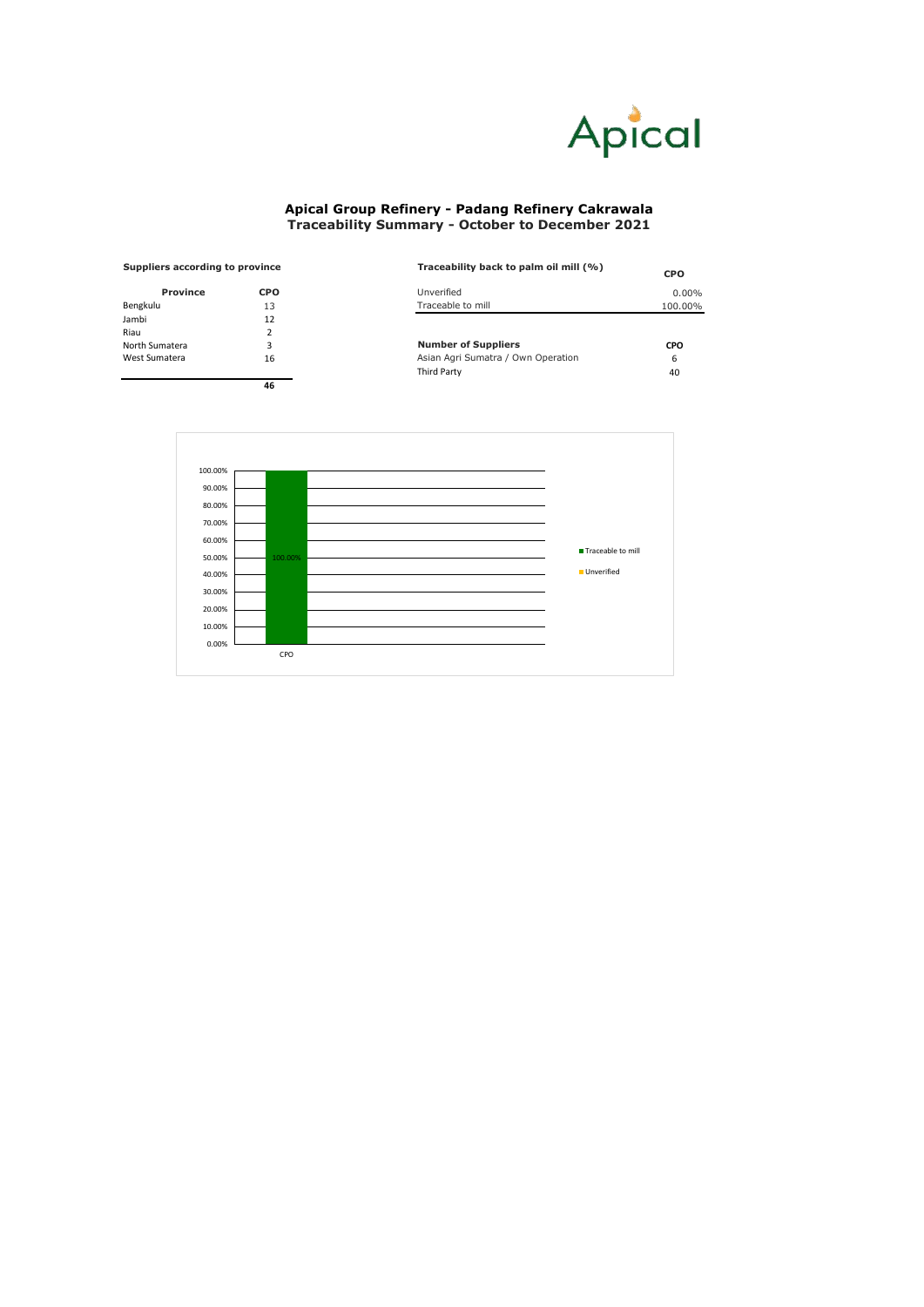| <b>Suppliers according to province</b> |            | Traceability back to palm oil mill (%) | <b>CPO</b> |  |
|----------------------------------------|------------|----------------------------------------|------------|--|
| <b>Province</b>                        | <b>CPO</b> | Unverified                             | $0.00\%$   |  |
| Bengkulu                               | 13         | Traceable to mill                      | 100.00%    |  |
| Jambi                                  | 12         |                                        |            |  |
| Riau                                   |            |                                        |            |  |
| North Sumatera                         | 3          | <b>Number of Suppliers</b>             | <b>CPO</b> |  |
| West Sumatera                          | 16         | Asian Agri Sumatra / Own Operation     | 6          |  |
|                                        |            | <b>Third Party</b>                     | 40         |  |

| <b>Province</b> |               |
|-----------------|---------------|
| Bengkulu        | 13            |
| Jambi           | 12            |
| Riau            | $\mathcal{P}$ |
| North Sumatera  | 3             |
| West Sumatera   | 16            |
|                 |               |

**46**



## **Apical Group Refinery - Padang Refinery Cakrawala Traceability Summary - October to December 2021**